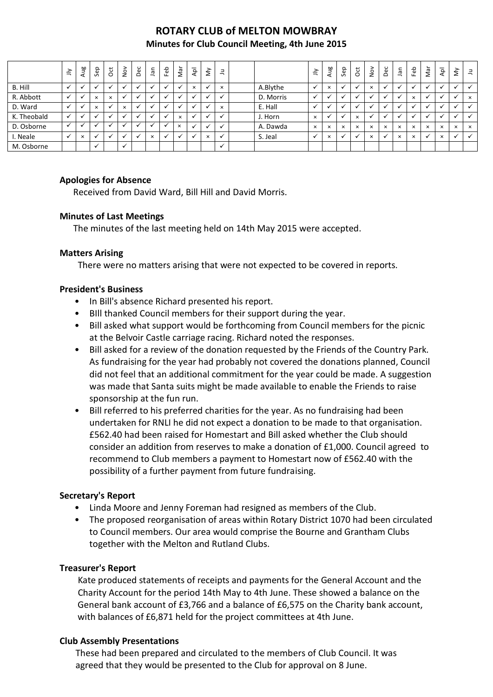# **ROTARY CLUB of MELTON MOWBRAY**

#### **Minutes for Club Council Meeting, 4th June 2015**

|             | $\leq$                   | Aug      | Sep          | $\rm \ddot c$ | $\frac{5}{2}$ | Dec | Jan      | Feb                      | Γã       | $\hspace{0.05cm}$<br>$\overline{5}$ | $\lessgtr$ | 크            |           | $\tilde{=}$ | Ρã<br>ੱ  | Sep      | $\overline{c}$ | $\frac{8}{2}$ | Dec      | ΨË<br>–  | မိ<br>ш. | L<br>Σã  | $\overline{P}$ | š            | $\exists$ |
|-------------|--------------------------|----------|--------------|---------------|---------------|-----|----------|--------------------------|----------|-------------------------------------|------------|--------------|-----------|-------------|----------|----------|----------------|---------------|----------|----------|----------|----------|----------------|--------------|-----------|
| B. Hill     |                          |          |              |               |               |     |          |                          |          | $\times$                            |            | $\times$     | A.Blythe  |             | $\times$ |          |                | $\times$      |          |          |          |          |                |              |           |
| R. Abbott   | $\overline{\phantom{a}}$ |          | $\times$     | $\times$      |               | M   |          |                          |          |                                     |            | $\checkmark$ | D. Morris |             |          |          |                |               |          |          | ×        |          |                | $\checkmark$ | $\times$  |
| D. Ward     |                          |          | $\times$     |               | $\times$      |     |          | $\overline{\phantom{a}}$ |          |                                     |            | $\times$     | E. Hall   |             |          |          |                |               |          |          |          |          |                |              |           |
| K. Theobald |                          |          |              |               |               |     |          |                          | $\times$ |                                     |            |              | J. Horn   | $\times$    |          |          | $\times$       |               |          |          |          |          |                |              |           |
| D. Osborne  |                          |          |              |               |               |     |          |                          | $\times$ |                                     |            |              | A. Dawda  | $\times$    | $\times$ | $\times$ | $\times$       | $\times$      | $\times$ | $\times$ | $\times$ | $\times$ | $\times$       | $\times$     | $\times$  |
| I. Neale    |                          | $\times$ |              |               |               |     | $\times$ |                          |          |                                     | $\times$   |              | S. Jeal   |             | $\times$ |          |                | $\times$      |          | $\times$ | $\times$ |          | $\times$       |              |           |
| M. Osborne  |                          |          | $\checkmark$ |               | $\cdot$       |     |          |                          |          |                                     |            | $\checkmark$ |           |             |          |          |                |               |          |          |          |          |                |              |           |

# **Apologies for Absence**

Received from David Ward, Bill Hill and David Morris.

# **Minutes of Last Meetings**

The minutes of the last meeting held on 14th May 2015 were accepted.

#### **Matters Arising**

There were no matters arising that were not expected to be covered in reports.

# **President's Business**

- In Bill's absence Richard presented his report.
- BIll thanked Council members for their support during the year.
- Bill asked what support would be forthcoming from Council members for the picnic at the Belvoir Castle carriage racing. Richard noted the responses.
- Bill asked for a review of the donation requested by the Friends of the Country Park. As fundraising for the year had probably not covered the donations planned, Council did not feel that an additional commitment for the year could be made. A suggestion was made that Santa suits might be made available to enable the Friends to raise sponsorship at the fun run.
- Bill referred to his preferred charities for the year. As no fundraising had been undertaken for RNLI he did not expect a donation to be made to that organisation. £562.40 had been raised for Homestart and Bill asked whether the Club should consider an addition from reserves to make a donation of £1,000. Council agreed to recommend to Club members a payment to Homestart now of £562.40 with the possibility of a further payment from future fundraising.

# **Secretary's Report**

- Linda Moore and Jenny Foreman had resigned as members of the Club.
- The proposed reorganisation of areas within Rotary District 1070 had been circulated to Council members. Our area would comprise the Bourne and Grantham Clubs together with the Melton and Rutland Clubs.

# **Treasurer's Report**

 Kate produced statements of receipts and payments for the General Account and the Charity Account for the period 14th May to 4th June. These showed a balance on the General bank account of £3,766 and a balance of £6,575 on the Charity bank account, with balances of £6,871 held for the project committees at 4th June.

# **Club Assembly Presentations**

 These had been prepared and circulated to the members of Club Council. It was agreed that they would be presented to the Club for approval on 8 June.